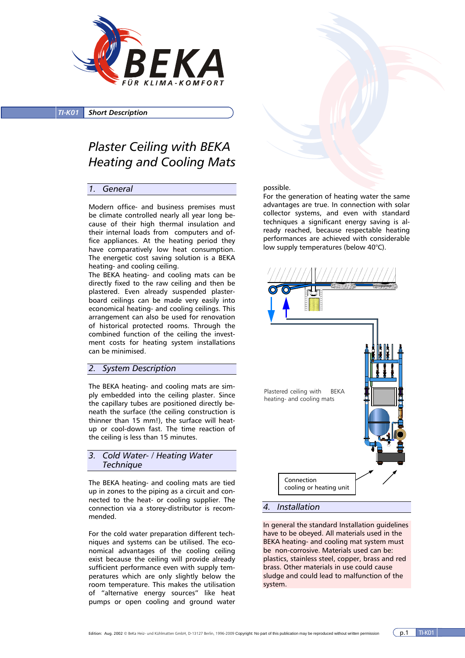

*TI-K01 Short Description*

# *Plaster Ceiling with BEKA Heating and Cooling Mats*

#### *1. General*

Modern office- and business premises must be climate controlled nearly all year long because of their high thermal insulation and their internal loads from computers and office appliances. At the heating period they have comparatively low heat consumption. The energetic cost saving solution is a BEKA heating- and cooling ceiling.

The BEKA heating- and cooling mats can be directly fixed to the raw ceiling and then be plastered. Even already suspended plasterboard ceilings can be made very easily into economical heating- and cooling ceilings. This arrangement can also be used for renovation of historical protected rooms. Through the combined function of the ceiling the investment costs for heating system installations can be minimised.

# *2. System Description*

The BEKA heating- and cooling mats are simply embedded into the ceiling plaster. Since the capillary tubes are positioned directly beneath the surface (the ceiling construction is thinner than 15 mm!), the surface will heatup or cool-down fast. The time reaction of the ceiling is less than 15 minutes.

*3. Cold Water- / Heating Water Technique* 

The BEKA heating- and cooling mats are tied up in zones to the piping as a circuit and connected to the heat- or cooling supplier. The connection via a storey-distributor is recommended.

For the cold water preparation different techniques and systems can be utilised. The economical advantages of the cooling ceiling exist because the ceiling will provide already sufficient performance even with supply temperatures which are only slightly below the room temperature. This makes the utilisation of "alternative energy sources" like heat pumps or open cooling and ground water

#### possible.

For the generation of heating water the same advantages are true. In connection with solar collector systems, and even with standard techniques a significant energy saving is already reached, because respectable heating performances are achieved with considerable low supply temperatures (below 40°C).



#### *4. Installation*

In general the standard Installation guidelines have to be obeyed. All materials used in the BEKA heating- and cooling mat system must be non-corrosive. Materials used can be: plastics, stainless steel, copper, brass and red brass. Other materials in use could cause sludge and could lead to malfunction of the system.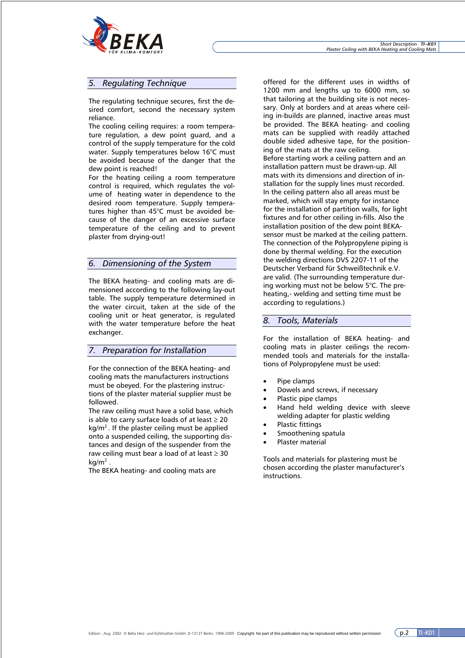

## *5. Regulating Technique*

The regulating technique secures, first the desired comfort, second the necessary system reliance.

The cooling ceiling requires: a room temperature regulation, a dew point guard, and a control of the supply temperature for the cold water. Supply temperatures below 16°C must be avoided because of the danger that the dew point is reached!

For the heating ceiling a room temperature control is required, which regulates the volume of heating water in dependence to the desired room temperature. Supply temperatures higher than 45°C must be avoided because of the danger of an excessive surface temperature of the ceiling and to prevent plaster from drying-out!

## *6. Dimensioning of the System*

The BEKA heating- and cooling mats are dimensioned according to the following lay-out table. The supply temperature determined in the water circuit, taken at the side of the cooling unit or heat generator, is regulated with the water temperature before the heat exchanger.

# *7. Preparation for Installation*

For the connection of the BEKA heating- and cooling mats the manufacturers instructions must be obeyed. For the plastering instructions of the plaster material supplier must be followed.

The raw ceiling must have a solid base, which is able to carry surface loads of at least  $\geq 20$  $kg/m<sup>2</sup>$ . If the plaster ceiling must be applied onto a suspended ceiling, the supporting distances and design of the suspender from the raw ceiling must bear a load of at least  $\geq 30$ kg/m<sup>2</sup> .

The BEKA heating- and cooling mats are

offered for the different uses in widths of 1200 mm and lengths up to 6000 mm, so that tailoring at the building site is not necessary. Only at borders and at areas where ceiling in-builds are planned, inactive areas must be provided. The BEKA heating- and cooling mats can be supplied with readily attached double sided adhesive tape, for the positioning of the mats at the raw ceiling. Before starting work a ceiling pattern and an installation pattern must be drawn-up. All mats with its dimensions and direction of installation for the supply lines must recorded. In the ceiling pattern also all areas must be marked, which will stay empty for instance for the installation of partition walls, for light fixtures and for other ceiling in-fills. Also the installation position of the dew point BEKAsensor must be marked at the ceiling pattern. The connection of the Polypropylene piping is done by thermal welding. For the execution the welding directions DVS 2207-11 of the Deutscher Verband für Schweißtechnik e.V. are valid. (The surrounding temperature during working must not be below 5°C. The preheating,- welding and setting time must be according to regulations.)

# *8. Tools, Materials*

For the installation of BEKA heating- and cooling mats in plaster ceilings the recommended tools and materials for the installations of Polypropylene must be used:

- Pipe clamps
- Dowels and screws, if necessary
- Plastic pipe clamps
- Hand held welding device with sleeve welding adapter for plastic welding
- Plastic fittings
- Smoothening spatula
- Plaster material

Tools and materials for plastering must be chosen according the plaster manufacturer's instructions.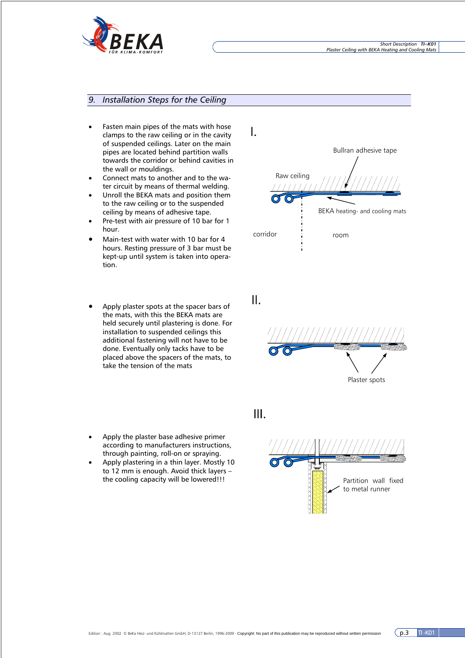

# *9. Installation Steps for the Ceiling*

- Fasten main pipes of the mats with hose clamps to the raw ceiling or in the cavity of suspended ceilings. Later on the main pipes are located behind partition walls towards the corridor or behind cavities in the wall or mouldings.
- Connect mats to another and to the water circuit by means of thermal welding.
- Unroll the BEKA mats and position them to the raw ceiling or to the suspended ceiling by means of adhesive tape.
- Pre-test with air pressure of 10 bar for 1 hour.
- Main-test with water with 10 bar for 4 hours. Resting pressure of 3 bar must be kept-up until system is taken into operation.
- Apply plaster spots at the spacer bars of the mats, with this the BEKA mats are held securely until plastering is done. For installation to suspended ceilings this additional fastening will not have to be done. Eventually only tacks have to be placed above the spacers of the mats, to take the tension of the mats



• Apply plastering in a thin layer. Mostly 10 to 12 mm is enough. Avoid thick layers – the cooling capacity will be lowered!!!





II.



III.

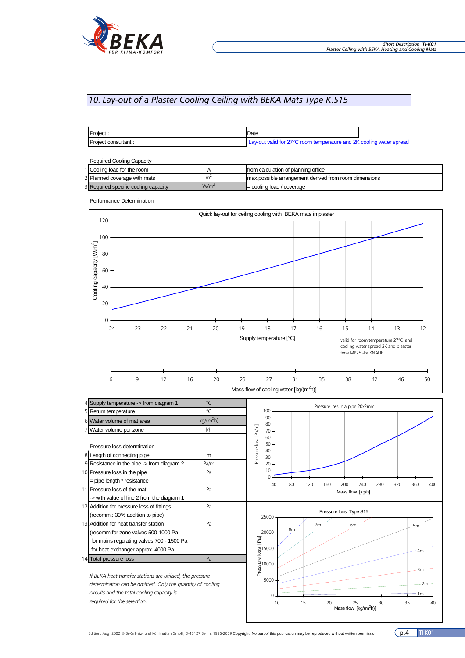

# *10. Lay-out of a Plaster Cooling Ceiling with BEKA Mats Type K.S15*

| Project.            | Date                                                                  |  |
|---------------------|-----------------------------------------------------------------------|--|
| Project consultant: | Lay-out valid for 27°C room temperature and 2K cooling water spread ! |  |

|  | <b>Required Cooling Capacity</b> |
|--|----------------------------------|
|  |                                  |

| Required Cooling Capacity            |                  |                                                       |
|--------------------------------------|------------------|-------------------------------------------------------|
| 1 Cooling load for the room          | W                | from calculation of planning office                   |
| 2 Planned coverage with mats         |                  | max possible arrangement derived from room dimensions |
| 3 Required specific cooling capacity | W/m <sup>2</sup> | $\vert$ = cooling load / coverage                     |

Performance Determination





5 Return temperature °C

*If BEKA heat transfer stations are utilised, the pressure determinaton can be omitted. Only the quantity of cooling circuits and the total cooling capacity is required for the selection.*

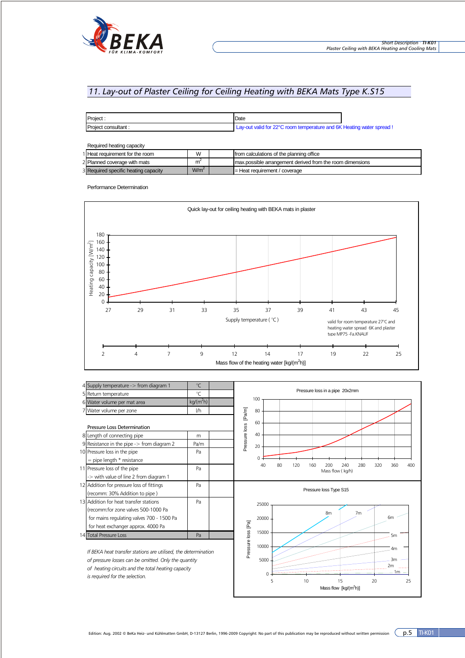

# *11. Lay-out of Plaster Ceiling for Ceiling Heating with BEKA Mats Type K.S15*

| Project             | Date                                                                  |  |
|---------------------|-----------------------------------------------------------------------|--|
| Project consultant: | Lay-out valid for 22°C room temperature and 6K Heating water spread ! |  |

| Required heating capacity            |                  |                                                           |
|--------------------------------------|------------------|-----------------------------------------------------------|
| 1 Heat requirement for the room      | W                | from calculations of the planning office                  |
| 2 Planned coverage with mats         | m                | max possible arrangement derived from the room dimensions |
| 3 Required specific heating capacity | W/m <sup>2</sup> | $=$ Heat requirement / coverage                           |

Performance Determination





Edition: Aug. 2002 © BeKa Heiz- und Kühlmatten GmbH, D-13127 Berlin, 1996-2009 Copyright: No part of this publication may be reproduced without written permission  $\overline{p.5}$  TI-K01